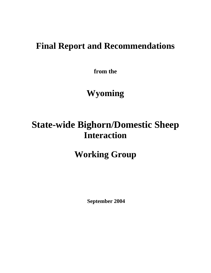# **Final Report and Recommendations**

**from the** 

# **Wyoming**

# **State-wide Bighorn/Domestic Sheep Interaction**

# **Working Group**

 **September 2004**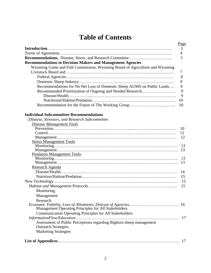# **Table of Contents**

|                                                                            | <u>Page</u>    |
|----------------------------------------------------------------------------|----------------|
|                                                                            | $\overline{3}$ |
|                                                                            |                |
| <b>Recommendations, Disease, Stress, and Research Committee</b>            |                |
| <b>Recommendations to Decision-Makers and Management Agencies</b>          |                |
| Wyoming Game and Fish Commission, Wyoming Board of Agriculture and Wyoming |                |
|                                                                            |                |
|                                                                            |                |
|                                                                            |                |
| Recommendations for No Net Loss of Domestic Sheep AUMS on Public Lands     | 9              |
| Recommended Prioritization of Ongoing and Needed Research                  | 9              |
|                                                                            | 9              |
|                                                                            | 10             |
|                                                                            |                |

## **Individual Subcommittee Recommendations**

| Disease, Stressors, and Research Subcommittee                       |     |
|---------------------------------------------------------------------|-----|
| <b>Disease Management Tools</b>                                     |     |
|                                                                     | 10  |
|                                                                     | 12  |
|                                                                     | 12  |
| <b>Stress Management Tools</b>                                      |     |
|                                                                     | 13  |
|                                                                     | 13  |
| <b>Predation Management Tools</b>                                   |     |
|                                                                     | -13 |
|                                                                     | 13  |
| Research Agenda                                                     |     |
|                                                                     | 14  |
|                                                                     | 15  |
|                                                                     | 15  |
|                                                                     | 15  |
| Monitoring                                                          |     |
| Management                                                          |     |
| Research                                                            |     |
| Management Operating Principles for All Stakeholders                | 16  |
| <b>Communication Operating Principles for All Stakeholders</b>      |     |
|                                                                     |     |
| Assessment of Public Perceptions regarding Bighorn sheep management |     |
| <b>Outreach Strategies</b>                                          |     |
| <b>Marketing Strategies</b>                                         |     |
|                                                                     | 17  |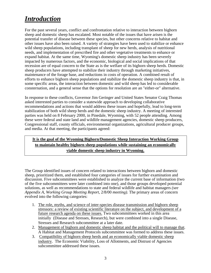## *Introduction*

For the past several years, conflict and confrontation relative to interaction between bighorn sheep and domestic sheep has escalated. Most notable of the issues that have arisen is the potential transfer of disease between these species, but other concerns relative to habitat and other issues have also been raised. A variety of strategies have been used to stabilize or enhance wild sheep populations, including transplant of sheep for new herds, analysis of nutritional needs, and implementation of prescribed fire and other vegetative treatments to enhance or expand habitat. At the same time, Wyoming's domestic sheep industry has been severely impacted by numerous factors, and the economic, biological and social implications of that recession are of equal concern to the State as is the welfare of its bighorn sheep herds. Domestic sheep producers have attempted to stabilize their industry through marketing initiatives, maintenance of the forage base, and reductions in costs of operation. A combined result of efforts to enhance bighorn sheep populations and stabilize the domestic sheep industry is that, in some specific areas, the interaction between domestic and wild sheep has led to considerable consternation, and a general sense that the options for resolution are an "either-or" alternative.

In response to these conflicts, Governor Jim Geringer and United States Senator Craig Thomas asked interested parties to consider a statewide approach to developing collaborative recommendations and actions that would address these issues and hopefully, lead to long-term stabilization of both wild sheep herds and the domestic sheep industry. A meeting of interested parties was held on 8 February 2000, in Pinedale, Wyoming, with 52 people attending. Among these were federal and state land and wildlife management agencies, domestic sheep producers, Congressional staff, county officials, environmental organizations, agricultural producer groups, and media. At that meeting, the participants agreed:

## **It is the goal of the Wyoming Bighorn/Domestic Sheep Interaction Working Group to maintain healthy bighorn sheep populations while sustaining an economically viable domestic sheep industry in Wyoming.**

The Group identified issues of concern related to interactions between bighorn and domestic sheep, prioritized them, and established four categories of issues for further examination and discussion. Five subcommittees were established to analyze the current base of information (two of the five subcommittees were later combined into one), and those groups developed potential solutions, as well as recommendations to state and federal wildlife and habitat managers *(see Appendix A, Working Group Meeting Report,* 2/8/00 *meeting).* The primary areas of concern evolved into the following categories:

- 1. The role, myths, and science of inter-species disease transmission and bighorn sheep stressors: a review of existing scientific literature on the subject, and development of a future research agenda on these issues. Two subcommittees worked in this area initially (Disease and Stresses, Research), but were combined into a single Disease, Stresses and Research subcommittee at a later date.
- 2. Management of bighorn and domestic sheep habitat and the political will to manage that. A Habitat and Management Protocols subcommittee was formed to address these issues.
- 3. Compatibility of bighorn sheep herds and an economically viable domestic sheep industry. The Economic Viability, Loss of Allotments, and Distrust of Agencies subcommittee addressed these issues.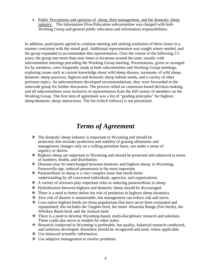4. Public Perceptions and opinions of sheep, their management, and the domestic sheep industry. The Information Flow/Education subcommittee was charged with both Working Group and general public education and information responsibilities.

In addition, participants agreed to continue meeting and seeking resolution of these issues in a manner consistent with the stated goal. Additional representation was sought where needed, and the group expanded to accommodate that representation. Over the course of the following 3.5 years, the group met more than nine times in locations around the state, usually with subcommittee meetings preceding the Working Group meeting. Presentations, given or arranged for by members, were frequently made at both subcommittee and Working Group meetings, exploring issues such as current knowledge about wild sheep disease, taxonomy of wild sheep, domestic sheep practices, bighorn and domestic sheep habitat needs, and a variety of other pertinent topics. As subcommittees developed recommendations, they were forwarded to the statewide group for further discussion. The process relied on consensus-based decision-making, and all subcommittees were inclusive of representation from the full variety of members on the Working Group. The first item of agreement was a list of "guiding principles" for bighorn sheep/domestic sheep interactions. The list (which follows) is not prioritized.

# *Terms of Agreement*

- The domestic sheep industry is important to Wyoming and should be protected; this includes protection and stability of grazing allotments and management changes only on a willing permittee basis, not under a sense of urgency or duress.
- $\triangle$  Bighorn sheep are important to Wyoming and should be protected and enhanced in terms of numbers, health, and distribution.
- $\triangleleft$  Diseases may be interchanged between domestic and bighorn sheep; in Wyoming, *Pasteurella* spp.-induced pneumonia is the most important.
- Pasteurellosis in sheep is a very complex issue that needs better understanding by all concerned individuals, agencies, and organizations.
- $\triangle$  A variety of stressors play important roles in inducing pasteurellosis in sheep.
- Hybridization between bighorn and domestic sheep should be discouraged.
- There is a need to better define the role of predation in bighorn sheep dynamics.
- Zero risk of disease is unattainable, but management can reduce risk and stress.
- $\div$  Core native bighorn herds are those populations that have never been extirpated and repopulated; this includes the Targhee herd, the entire Absaroka Range (five herds), the Whiskey Basin herd, and the Jackson herd.
- There is a need to develop Wyoming-based, multi-disciplinary research and solutions. These could also serve as models for other states.
- $\triangle$  Research conducted in Wyoming is preferable, but quality, balanced research conducted, and solutions developed, elsewhere should be recognized and used, where applicable.
- Use balanced scientific information.
- Use adaptive management to resolve problems.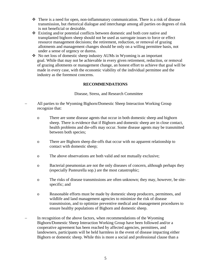- There is a need for open, non-inflammatory communication. There is a risk of disease transmission, but rhetorical dialogue and interchange among all parties on degrees of risk is not beneficial or desirable.
- Existing and/or potential conflicts between domestic and both core native and transplanted bighorn sheep should not be used as surrogate issues to force or effect resource management decisions; the retirement, reduction, or removal of grazing allotments and management changes should be only on a willing permittee basis, not under a sense of urgency or duress.
- No net loss of domestic sheep industry AUMs in Wyoming is an important goal. While that may not be achievable in every given retirement, reduction, or removal of grazing allotments or management change, an honest effort to achieve that goal will be made in every case, with the economic viability of the individual permittee and the industry as the foremost concerns.

#### **RECOMMENDATIONS**

#### Disease, Stress, and Research Committee

- − All parties to the Wyoming Bighorn/Domestic Sheep Interaction Working Group recognize that:
	- o There are some disease agents that occur in both domestic sheep and bighorn sheep. There is evidence that if Bighorn and domestic sheep are in close contact, health problems and die-offs may occur. Some disease agents may be transmitted between both species;
	- o There are Bighorn sheep die-offs that occur with no apparent relationship to contact with domestic sheep;
	- o The above observations are both valid and not mutually exclusive;
	- o Bacterial pneumonias are not the only diseases of concern, although perhaps they (especially Pasteurella sop.) are the most catastrophic;
	- o The risks of disease transmissions are often unknown; they may, however, be sitespecific; and
	- o Reasonable efforts must be made by domestic sheep producers, permittees, and wildlife and land management agencies to minimize the risk of disease transmission, and to optimize preventive medical and management procedures to ensure healthy populations of Bighorn and domestic sheep.
- In recognition of the above factors, when recommendations of the Wyoming Bighorn/Domestic Sheep Interaction Working Group have been followed and/or a cooperative agreement has been reached by affected agencies, permittees, and landowners, participants will be held harmless in the event of disease impacting either Bighorn or domestic sheep. While this is more a social and professional clause than a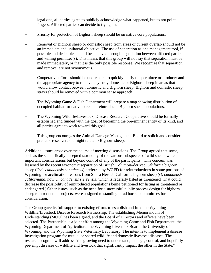legal one, all parties agree to publicly acknowledge what happened, but to not point fingers. Affected parties can decide to try again.

- Priority for protection of Bighorn sheep should be on native core populations.
- Removal of Bighorn sheep or domestic sheep from areas of current overlap should not be an immediate and unilateral objective. The use of separation as one management tool, if possible and desirable, should be achieved through negotiation between affected parties and willing permittee(s). This means that this group will not say that separation must be made immediately, or that it is the only possible response. We recognize that separation and removal are not synonymous.
- − Cooperative efforts should be undertaken to quickly notify the permittee or producer and the appropriate agency to remove any stray domestic or Bighorn sheep in areas that would allow contact between domestic and Bighorn sheep. Bighorn and domestic sheep strays should be removed with a common sense approach.
- The Wyoming Game & Fish Department will prepare a map showing distribution of occupied habitat for native core and reintroduced Bighorn sheep populations.
- − The Wyoming Wildlife/Livestock, Disease Research Cooperative should be formally established and funded with the goal of becoming the pre-eminent entity of its kind, and all parties agree to work toward this goal.
- This group encourages the Animal Damage Management Board to solicit and consider predator research as it might relate to Bighorn sheep.

Additional issues arose over the course of meeting discussions. The Group agreed that some, such as the scientifically-accepted taxonomy of the various subspecies of wild sheep, were important considerations but beyond control of any of the participants. [This concern was lessened by the recent taxonomic separation of British Columbia-derived California bighorn sheep (*Ovis canadensis canadensis)* preferred by WGFD for reintroductions in some portions of Wyoming for acclimation reasons from Sierra Nevada California bighorn sheep (*O. canadensis californiana,* now *O. canadensis sierrensis)* which is federally listed as threatened That could decrease the possibility of reintroduced populations being petitioned for listing as threatened or endangered.] Other issues, such as the need for a successful public process design for bighorn sheep reintroduction projects, were assigned to standing or ad hoc subcommittees for consideration.

The Group gave its full support to existing efforts to establish and fund the Wyoming Wildlife/Livestock Disease Research Partnership. The establishing Memorandum of Understanding (MOU) has been signed, and the Board of Directors and officers have been selected. The Partnership is a joint effort among the Wyoming Game and Fish Department, the Wyoming Department of Agriculture, the Wyoming Livestock Board, the University of Wyoming, and the Wyoming State Veterinary Laboratory. The intent is to implement a disease investigation program for mutual or shared wildlife and domestic livestock diseases. The research program will address "the growing need to understand, manage, control, and hopefully pre-empt diseases of wildlife and livestock that significantly impact the other in the State."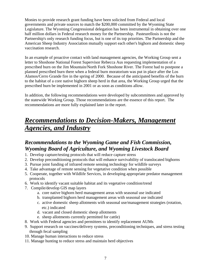Monies to provide research grant funding have been solicited from Federal and local governments and private sources to match the \$200,000 committed by the Wyoming State Legislature. The Wyoming Congressional delegation has been instrumental in obtaining over one half million dollars in Federal research money for the Partnership. Pasteurellosis is not the Partnership's only research funding focus, but is one of its top priorities. The Partnership and the American Sheep Industry Association mutually support each other's bighorn and domestic sheep vaccination research.

In an example of proactive contact with land management agencies, the Working Group sent a letter to Shoshone National Forest Supervisor Rebecca Aus requesting implementation of a prescribed burn on the Jim Mountain/North Fork Shoshone River. The Forest had to postpone a planned prescribed burn there when a federal burn moratorium was put in place after the Los Alamos/Cerro Grande fire in the spring of 2000. Because of the anticipated benefits of the burn to the habitat of a core native bighorn sheep herd in that area, the Working Group urged that the prescribed burn be implemented in 2001 or as soon as conditions allow.

In addition, the following recommendations were developed by subcommittees and approved by the statewide Working Group. Those recommendations are the essence of this report. The recommendations are more fully explained later in the report.

# *Recommendations to Decision-Makers, Management Agencies, and Industry*

## *Recommendations to the Wyoming Game and Fish Commission, Wyoming Board of Agriculture, and Wyoming Livestock Board*

- 1. Develop capture/testing protocols that will reduce capture stress
- 2. Develop preconditioning protocols that will enhance survivability of translocated bighorns
- 3. Pursue joint funding of infrared remote sensing technology for wildlife surveys
- 4. Take advantage of remote sensing for vegetative condition when possible
- 5. Cooperate, together with Wildlife Services, in developing appropriate predator management protocols
- 6. Work to identify vacant suitable habitat and its vegetative condition/trend
- 7. Compile/develop GIS map layers
	- a. core native bighorn herd management areas with seasonal use indicated
	- b. transplanted bighorn herd management areas with seasonal use indicated
	- c. active domestic sheep allotments with seasonal use/management strategies (rotation, etc.) indicated
	- d. vacant and closed domestic sheep allotments
	- e. sheep allotments currently permitted for cattle)
- 8. Work with Federal agencies and permittees to identify replacement AUMs
- 9. Support research on vaccines/delivery systems, preconditioning techniques, and stress testing through fecal sampling
- 10. Manage human interactions to reduce stress
- 11. Manage hunting to reduce stress and maintain herd objectives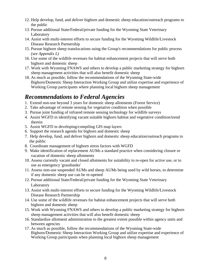- 12. Help develop, fund, and deliver bighorn and domestic sheep education/outreach programs to the public
- 13. Pursue additional State/Federal/private funding for the Wyoming State Veterinary Laboratory
- 14. Assist with multi-interest efforts to secure funding for the Wyoming Wildlife/Livestock Disease Research Partnership
- 15. Pursue bighorn sheep translocations using the Group's recommendations for public process *(see Appendix L)*
- 16. Use some of the wildlife revenues for habitat enhancement projects that will serve both bighorn and domestic sheep
- 17. Work with Wyoming FNAWS and others to develop a public marketing strategy for bighorn sheep management activities that will also benefit domestic sheep
- 18. As much as possible, follow the recommendations of the Wyoming State-wide Bighorn/Domestic Sheep Interaction Working Group and utilize expertise and experience of Working Group participants where planning local bighorn sheep management

## *Recommendations to Federal Agencies*

- 1. Extend non-use beyond 3 years for domestic sheep allotments (Forest Service)
- 2. Take advantage of remote sensing for vegetative condition when possible
- 3. Pursue joint funding of infrared remote sensing technology for wildlife surveys
- 4. Assist WGFD in identifying vacant suitable bighorn habitat and vegetative condition/trend therein
- 5. Assist WGFD in developing/compiling GIS map layers
- 6. Support the research agenda for bighorn and domestic sheep
- 7. Help develop, fund, and deliver bighorn and domestic sheep education/outreach programs to the public
- 8. Coordinate management of bighorn stress factors with WGFD
- 9. Make identification of replacement AUMs a standard practice when considering closure or vacation of domestic sheep allotments
- 10. Assess currently vacant and closed allotments for suitability to re-open for active use, or to use as emergency 'grassbanks'
- 11. Assess non-use suspended AUMs and sheep AUMs being used by wild horses, to determine if any domestic sheep use can be re-opened
- 12. Pursue additional State/Federal/private funding for the Wyoming State Veterinary Laboratory
- 13. Assist with multi-interest efforts to secure funding for the Wyoming Wildlife/Livestock Disease Research Partnership
- 14. Use some of the wildlife revenues for habitat enhancement projects that will serve both bighorn and domestic sheep
- 15. Work with Wyoming FNAWS and others to develop a public marketing strategy for bighorn sheep management activities that will also benefit domestic sheep
- 16. Standardize allotment administration to the greatest extent possible within agency units and between agencies
- 17. As much as possible, follow the recommendations of the Wyoming State-wide Bighorn/Domestic Sheep Interaction Working Group and utilize expertise and experience of Working Group participants when planning local bighorn sheep management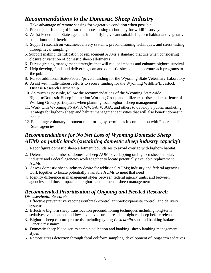## *Recommendations to the Domestic Sheep Industry*

- 1. Take advantage of remote sensing for vegetative condition when possible
- 2. Pursue joint funding of infrared remote sensing technology for wildlife surveys
- 3. Assist Federal and State agencies in identifying vacant suitable bighorn habitat and vegetative condition/trend therein
- 4. Support research on vaccines/delivery systems, preconditioning techniques, and stress testing through fecal sampling
- 5. Support making identification of replacement AUMs a standard practice when considering closure or vacation of domestic sheep allotments
- 6. Pursue grazing management strategies that will reduce impacts and enhance bighorn survival
- 7. Help develop, fund, and deliver bighorn and domestic sheep education/outreach programs to the public
- 8. Pursue additional State/Federal/private funding for the Wyoming State Veterinary Laboratory
- 9. Assist with multi-interest efforts to secure funding for the Wyoming Wildlife/Livestock Disease Research Partnership
- 10. As much as possible, follow the recommendations of the Wyoming State-wide Bighorn/Domestic Sheep Interaction Working Group and utilize expertise and experience of Working Group participants when planning local bighorn sheep management
- 11. Work with Wyoming FNAWS, WWGA, WSGA, and others to develop a public marketing strategy for bighorn sheep and habitat management activities that will also benefit domestic sheep
- 12. Encourage voluntary allotment monitoring by permittees in conjunction with Federal and State agencies

## *Recommendations for No Net Loss of Wyoming Domestic Sheep AUMs on public lands* **(***sustaining domestic sheep industry capacity***)**

- 1. Reconfigure domestic sheep allotment boundaries to avoid overlap with bighorn habitat
- 2. Determine the number of domestic sheep AUMs overlapping on bighorn sheep habitat; industry and Federal agencies work together to locate potentially available replacement AUMs
- 3. Assess domestic sheep industry desire for additional AUMs; industry and federal agencies work together to locate potentially available AUMs to meet that need
- 4. Identify difference in management styles between federal agency units, and between agencies, and those impacts on bighorn and domestic sheep management

## *Recommended Prioritization of Ongoing and Needed Research*

#### *Disease/Health Research*

- 1. Effective preventative vaccines/outbreak-control antibiotics/parasite control, and delivery systems
- 2. Effective bighorn sheep translocation preconditioning techniques including long-term sedatives, vaccination, and low-level exposure to resident bighorn sheep before release
- 3. Bighorn sheep capture protocols, including typing *Pasteurella* spp. and banking isolates Genetic resistance
- 4. Domestic sheep blood serum sample collection and banking, sheep lambing management styles
- 5. Remote stress detection through fecal coliform sampling, development of long-term sedatives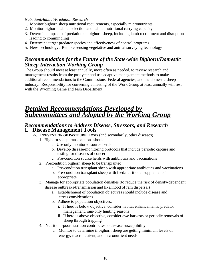#### *NutritionlHabitat/Predation Research*

- 1. Monitor bighorn sheep nutritional requirements, especially micronutrients
- 2. Monitor bighorn habitat selection and habitat nutritional carrying capacity
- 3. Determine impacts of predation on bighorn sheep, including lamb recruitment and disruption leading to commingling
- 4. Determine target predator species and effectiveness of control programs
- 5. New Technology: Remote sensing vegetative and animal surveying technology

## *Recommendation for the Future of the State-wide Bighorn/Domestic Sheep Interaction Working Group*

The Group should meet at least annually, more often as needed, to review research and management results from the past year and use adaptive management methods to make additional recommendations to the Commissions, Federal agencies, and the domestic sheep industry. Responsibility for convening a meeting of the Work Group at least annually will rest with the Wyoming Game and Fish Department.

## *Detailed Recommendations Developed by Subcommittees and Adopted by the Working Group*

# *Recommendations to Address Disease, Stressors, and Research* **I. Disease Management Tools**

- **A**. **PREVENTION OF PASTEURELLOSIS** (and secondarily, other diseases)
	- 1. Bighorn sheep translocations should:
		- a. Use only monitored source herds
		- b. Develop disease-monitoring protocols that include periodic capture and testing for diseases of concern
		- c. Pre-condition source herds with antibiotics and vaccinations
	- 2. Precondition bighorn sheep to be transplanted
		- a. Pre-condition transplant sheep with appropriate antibiotics and vaccinations
		- b. Pre-condition transplant sheep with feed/nutritional supplements if appropriate
	- 3. Manage for appropriate population densities (to reduce the risk of density-dependent disease outbreaks/transmission and likelihood of ram dispersal)
		- a. Establishment of population objectives should include disease and stress considerations
		- b. Adhere to population objectives.
			- i. If herd is below objective, consider habitat enhancements, predator management, ram-only hunting seasons
			- ii. If herd is above objective, consider ewe harvests or periodic removals of sheep through trapping
	- 4. Nutrition -poor nutrition contributes to disease susceptibility
		- a. Monitor to determine if bighorn sheep are getting minimum levels of energy, macronutrient, and micronutrient needs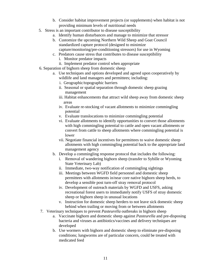- b. Consider habitat improvement projects (or supplements) when habitat is not providing minimum levels of nutritional needs
- 5. Stress is an important contributor to disease susceptibility
	- a. Identify human disturbances and manage to minimize that stressor
	- b. Customize the upcoming Northern Wild Sheep and Goat Council standardized capture protocol (designed to minimize capture/monitoring/pre-conditioning stressors) for use in Wyoming
	- c. Predators cause stress that contributes to disease susceptibility
		- i. Monitor predator impacts
		- ii. Implement predator control when appropriate
- 6. Separation of bighorn sheep from domestic sheep
	- a. Use techniques and options developed and agreed upon cooperatively by wildlife and land managers and permittees; including:
		- i. Geographic/topographic barriers
		- ii. Seasonal or spatial separation through domestic sheep grazing management
		- iii. Habitat enhancements that attract wild sheep away from domestic sheep areas
		- iv. Evaluate re-stocking of vacant allotments to minimize commingling potential
		- v. Evaluate translocations to minimize commingling potential
		- vi. Evaluate allotments to identify opportunities to convert those allotments with high commingling potential to cattle and open vacant allotments or convert from cattle to sheep allotments where commingling potential is lower
		- vii. Negotiate financial incentives for permittees to waive domestic sheep allotments with high commingling potential back to the appropriate land management agency
	- b. Develop a commingling response protocol that includes the following:
		- i. Removal of wandering bighorn sheep (transfer to Sybille or Wyoming State Veterinary Lab)
		- ii. Immediate, two-way notification of commingling sightings
		- iii. Meetings between WGFD field personnel and domestic sheep permittees with allotments in/near core native bighorn sheep herds, to develop a sensible post turn-off stray removal protocol
		- iv. Development of outreach materials by WGFD and USFS, asking recreational forest users to immediately notify USFS of stray domestic sheep or bighorn sheep in unusual locations
		- v. Instruction for domestic sheep herders to not leave sick domestic sheep behind when trailing or moving from or between allotments
- 7. Veterinary techniques to prevent *Pasteurella* outbreaks in bighorn sheep
	- a. Vaccinate bighorn and domestic sheep against *Pasteurella* and pre-disposing bacteria and viruses as antibiotics/vaccines and delivery techniques are developed
	- b. Use wormers with bighorn and domestic sheep to eliminate pre-disposing conditions; lungworms are of particular concern, could be treated with medicated feed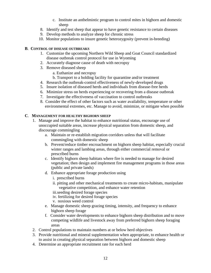- c. Institute an anthelmintic program to control mites in bighorn and domestic sheep
- 8. Identify and test sheep that appear to have genetic resistance to certain diseases
- 9. Develop methods to analyze sheep for chronic stress
- 10. Monitor populations to insure genetic heterozygosity (prevent in-breeding)

#### **B**. **CONTROL OF DISEASE OUTBREAKS**

- 1. Customize the upcoming Northern Wild Sheep and Goat Council standardized disease outbreak control protocol for use in Wyoming
- 2. Accurately diagnose cause of death with necropsy
- 3. Remove diseased sheep
	- a. Euthanize and necropsy
	- b. Transport to a holding facility for quarantine and/or treatment
- 4. Research the outbreak-control effectiveness of newly-developed drugs
- 5. Insure isolation of diseased herds and individuals from disease-free herds
- 6. Minimize stress on herds experiencing or recovering from a disease outbreak
- 7. Investigate the effectiveness of vaccination to control outbreaks
- 8. Consider the effect of other factors such as water availability, temperature or other environmental extremes, etc. Manage to avoid, minimize, or mitigate when possible

#### **C**. **MANAGEMENT FOR HEALTHY BIGHORN SHEEP**

- 1. Manage and improve the habitat to enhance nutritional status, encourage use of unoccupied suitable areas, increase physical separation from domestic sheep, and discourage commingling
	- a. Maintain or re-establish migration corridors unless that will facilitate commingling with domestic sheep
	- b. Prevent/reduce timber encroachment on bighorn sheep habitat, especially crucial winter ranges and lambing areas, through either commercial removal or prescribed burns
	- c. Identify bighorn sheep habitats where fire is needed to manage for desired vegetation; then design and implement fire management programs in those areas (public and private lands)
	- d. Enhance appropriate forage production using
		- i. prescribed burns
		- ii. pitting and other mechanical treatments to create micro-habitats, manipulate vegetative competition, and enhance water retention
		- iii.seeding desired forage species
		- iv. fertilizing for desired forage species
		- v. noxious weed control
	- e. Manage domestic sheep grazing timing, intensity, and frequency to enhance bighorn sheep forage
	- f. Consider water developments to enhance bighorn sheep distribution and to move competing wildlife and livestock away from preferred bighorn sheep foraging areas
- 2. Control populations to maintain numbers at or below herd objectives
- 3. Provide nutritional and mineral supplementation when appropriate, to enhance health or to assist in creating physical separation between bighorn and domestic sheep
- 4. Determine an appropriate recruitment rate for each herd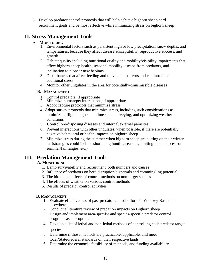5. Develop predator control protocols that will help achieve bighorn sheep herd recruitment goals and be most effective while minimizing stress on bighorn sheep

## **II. Stress Management Tools**

#### A. **MONITORING**

- 1. Environmental factors such as persistent high or low precipitation, snow depths, and temperatures, because they affect disease susceptibility, reproductive success, and growth
- 2. Habitat quality including nutritional quality and mobility/visibility impairments that affect bighorn sheep health, seasonal mobility, escape from predators, and inclination to pioneer new habitats
- 3. Disturbances that affect feeding and movement patterns and can introduce additional stress
- 4. Monitor other ungulates in the area for potentially-transmissible diseases

#### **B**. **MANAGEMENT**

- 
- 1. Control predators, if appropriate 2. Minimize human/pet interactions, if appropriate
- 3. Adopt capture protocols that minimize stress
- 4. Adopt survey protocols that minimize stress, including such considerations as minimizing flight heights and time spent surveying, and optimizing weather conditions
- 5. Control pre-disposing diseases and internal/external parasites
- 6. Prevent interactions with other ungulates, when possible, if there are potentially negative behavioral or health impacts on bighorn sheep
- 7. Minimize stress during the summer when bighorn sheep are putting on their winter fat (strategies could include shortening hunting seasons, limiting human access on summer/fall ranges, etc.)

## **III. Predation Management Tools**

### **A. MONITORING**

- 1. Lamb survivability and recruitment, both numbers and causes
- 2. Influence of predators on herd disruption/dispersals and commingling potential
- 3. The biological effects of control methods on non-target species
- 4. The effects of weather on various control methods
- 5. Results of predator control activities

### **B. MANAGEMENT**

- 1. Evaluate effectiveness of past predator control efforts in Whiskey Basin and elsewhere
- 2. Conduct a literature review of predation impacts on Bighorn sheep
- 3. Design and implement area-specific and species-specific predator control programs as appropriate
- 4. Develop a list of lethal and non-lethal methods of controlling each predator target species
- 5. Determine if those methods are practicable, applicable, and meet local/State/Federal standards on their respective lands
- 6. Determine the economic feasibility of methods, and funding availability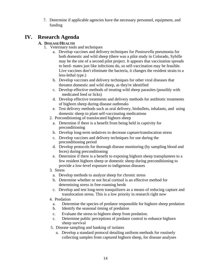7. Determine if applicable agencies have the necessary personnel, equipment, and funding

## **IV. Research Agenda**

## **A. DISEASE/HEALTH**

- 1. Veterinary tools and techniques
	- a. Develop vaccines and delivery techniques for *Pasteurella* pneumonia for both domestic and wild sheep (there was a pilot study in Colorado, Sybille may be the site of a second pilot project. It appears that vaccination spreads to herd- mates just like infections do, so self-vaccination may be feasible. Live vaccines don't eliminate the bacteria, it changes the resident strain to a less-lethal type.)
	- b. Develop vaccines and delivery techniques for other viral diseases that threaten domestic and wild sheep, as they're identified
	- c. Develop effective methods of treating wild sheep parasites (possibly with medicated feed or licks)
	- d. Develop effective treatments and delivery methods for antibiotic treatments of bighorn sheep during disease outbreaks
	- e. Test delivery methods such as oral delivery, biobullets, inhalants, and using domestic sheep to plant self-vaccinating medications
	- 2. Preconditioning of translocated bighorn sheep
		- a. Determine if there is a benefit from being held in captivity for preconditioning
		- b. Develop long-term sedatives to decrease capture/translocation stress
		- c. Develop vaccines and delivery techniques for use during the preconditioning period
		- d. Develop protocols for thorough disease monitoring (by sampling blood and feces) during preconditioning
		- e. Determine if there is a benefit to exposing bighorn sheep transplantees to a few resident bighorn sheep or domestic sheep during preconditioning to provide a low-level exposure to indigenous diseases
	- 3. Stress
		- a. Develop methods to analyze sheep for chronic stress
		- b. Determine whether or not fecal cortisol is an effective method for determining stress in free-roaming herds
		- c. Develop and test long-term tranquilizers as a means of reducing capture and translocation stress. This is a low priority in research right now
	- 4. Predation
		- a. Determine the species of predator responsible for bighorn sheep predation
		- b. Identify the seasonal timing of predation
		- c. Evaluate the stress to bighorn sheep from predation.
		- c. Determine public perceptions of predator control to enhance bighorn sheep survival
	- 5. Disease sampling and banking of isolates
		- a. Develop a standard protocol detailing uniform methods for routinely collecting samples from captured bighorn sheep, for disease analyses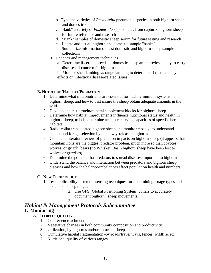- b. Type the varieties of *Pasteurella* pneumonia species in both bighorn sheep and domestic sheep
- c. "Bank" a variety of *Pasteurella* spp. isolates from captured bighorn sheep for future reference and research
- d. "Bank" samples of domestic sheep serum for future testing and research
- e. Locate and list all bighorn and domestic sample "banks"
- f. Summarize information on past domestic and bighorn sheep sample collections
- 6. Genetics and management techniques
	- a. Determine if certain breeds of domestic sheep are more/less likely to carry diseases of concern for bighorn sheep
	- b. Monitor shed lambing vs range lambing to determine if there are any effects on infectious disease-related issues

#### **B. NUTRITION/HABITAT/PREDATION**

- 1. Determine what micronutrients are essential for healthy immune systems in bighorn sheep, and how to best insure the sheep obtain adequate amounts in the wild
- 2. Develop and test protein/mineral supplement blocks for bighorn sheep
- 3. Determine how habitat improvements influence nutritional status and health in bighorn sheep, to help determine accurate carrying capacities of specific herd habitats
- 4. Radio-collar translocated bighorn sheep and monitor closely, to understand habitat and forage selection by the newly-released bighorns
- 5. Conduct a literature review of predation impacts on bighorn sheep (it appears that mountain lions are the biggest predator problem, much more so than coyotes, wolves, or grizzly bears (no Whiskey Basin bighorn sheep have been lost to wolves or grizzlies)
- 6. Determine the potential for predators to spread diseases important to bighorns
- 7. Understand the balance and interaction between predators and bighorn sheep diseases and how the balance/imbalances affect population health and numbers.

### **C. NEW TECHNOLOGY**

- 1. Test applicability of remote sensing techniques for determining forage types and extents of sheep ranges
	- 2. Use GPS (Global Positioning System) collars to accurately document bighorn sheep movements.

#### 3. *Habitat* & *Management Protocols Subcommittee*  **I. Monitoring**

### **A. HABITAT QUALITY**

- 1. Conifer encroachment
- 2. Vegetative changes in both community composition and productivity
- 3. Utilization, by bighorns and/or domestic sheep
- 6. Cumulative habitat fragmentation -by roads/travel ways, fences, wildfire, etc.
- 7. Nutritional quality of various ranges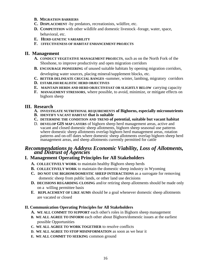- **B. MIGRATION BARRIERS**
- **C. DISPLACEMENT** -by predators, recreationists, wildfire, etc.
- **D. COMPETITION** with other wildlife and domestic livestock -forage, water, space, behavioral, etc.
- **E. HERD GENETIC VARIABILITY**
- **F.** E**FFECTIVENESS OF HABITAT ENHANCEMENT PROJECTS**

## **II. Management**

- **A. CONDUCT VEGETATIVE MANAGEMENT PROJECTS**, such as on the North Fork of the Shoshone, to improve productivity and open migration corridors
- **B. ENCOURAGE PIONEERING** of unused suitable habitats by opening migration corridors, developing water sources, placing mineral/supplement blocks, etc.
- **C. BETTER DELINEATE CRUCIAL RANGES** -summer, winter, lambing, migratory corridors
- **D. ESTABLISH REALISTIC HERD OBJECTIVES**
- **E. MAINTAIN HERDS AND HERD OBJECTIVESAT OR SLIGHTLY BELOW** carrying capacity
- **F. MANAGEMENT STRESSORS**, where possible, to avoid, minimize, or mitigate effects on bighorn sheep

## **III. Research**

- **A. INVESTIGATE NUTRITIONAL REQUIREMENTS of Bighorns, especially micronutrients**
- **B. IDENTIFY VACANT HABITAT that is suitable**
- **C. DETERMINE THE CONDITION AND TREND of potential, suitable but vacant habitat**
- D. **DEVELOP GIS MAP LAYERS** of bighorn sheep herd management areas, active and vacant and closed domestic sheep allotments, bighorn sheep seasonal use patterns where domestic sheep allotments overlap bighorn herd management areas, rotation patterns and on-off dates where domestic sheep allotments overlap bighorn sheep herd management areas, and sheep allotments currently permitted for cattle

# *Recommendations to Address Economic Viability, Loss of Allotments, and Distrust of Agencies*

## **I. Management Operating Principles for All Stakeholders**

- **A. COLLECTIVELY WORK** to maintain healthy Bighorn sheep herds
- **B. COLLECTIVELY WORK** to maintain the domestic sheep industry in Wyoming
- **C. DO NOT USE BIGHOM/DOMESTIC SHEEP INTERACTIONS** as a surrogate for removing domestic sheep from public lands, or other land use decisions
- **D. DECISIONS REGARDING CLOSING** and/or retiring sheep allotments should be made only on a willing permittee basis
- **E**. **REPLACEMENT OF LIKE AUMS** should be a goal whenever domestic sheep allotments are vacated or closed

### **II. Communication Operating Principles for All Stakeholders**

- **A. WE ALL COMMIT TO SUPPORT** each other's roles in Bighorn sheep management
- **B. WE ALL AGREE TO INFORM** each other about Bighorn/domestic issues at the earliest possible Opportunities
- **C. WE ALL AGREE TO WORK TOGETHER** to resolve conflicts
- **D. WE ALL AGREE TO STOP MISINFORMATION** as soon as we hear it
- **E. WE ALL COMMIT TO SEEKING** common ground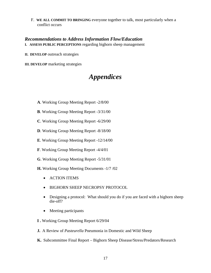F. **WE ALL COMMIT TO BRINGING** everyone together to talk, most particularly when a conflict occurs

## *Recommendations to Address Information Flow/Education*

**I. ASSESS PUBLIC PERCEPTIONS** regarding bighorn sheep management

**II. DEVELOP** outreach strategies

**III. DEVELOP** marketing strategies

# *Appendices*

- **A**. Working Group Meeting Report -2/8/00
- **B**. Working Group Meeting Report -3/31/00
- **C**. Working Group Meeting Report -6/29/00
- **D**. Working Group Meeting Report -8/18/00
- **E**. Working Group Meeting Report -12/14/00
- **F**. Working Group Meeting Report -4/4/01
- **G**. Working Group Meeting Report -5/31/01
- **H.** Working Group Meeting Documents -1/7 /02
	- ACTION ITEMS
	- BIGHORN SHEEP NECROPSY PROTOCOL
	- Designing a protocol: What should you do if you are faced with a bighorn sheep die-off?
	- Meeting participants
- **I .** Working Group Meeting Report 6/29/04
- **J.** A Review of *Pasteurella* Pneumonia in Domestic and Wild Sheep
- **K.** Subcommittee Final Report Bighorn Sheep Disease/Stress/Predators/Research